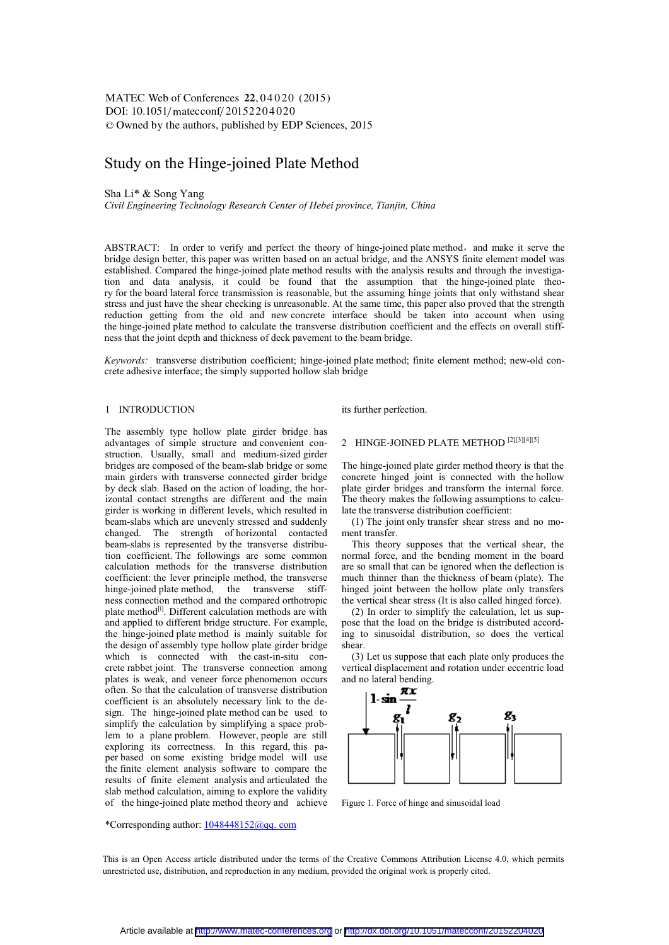# Study on the Hinge-joined Plate Method

Sha Li\* & Song Yang

*Civil Engineering Technology Research Center of Hebei province, Tianjin, China* 

ABSTRACT: In order to verify and perfect the theory of hinge-joined plate method, and make it serve the bridge design better, this paper was written based on an actual bridge, and the ANSYS finite element model was established. Compared the hinge-joined plate method results with the analysis results and through the investigation and data analysis, it could be found that the assumption that the hinge-joined plate theory for the board lateral force transmission is reasonable, but the assuming hinge joints that only withstand shear stress and just have the shear checking is unreasonable. At the same time, this paper also proved that the strength reduction getting from the old and new concrete interface should be taken into account when using the hinge-joined plate method to calculate the transverse distribution coefficient and the effects on overall stiffness that the joint depth and thickness of deck pavement to the beam bridge.

*Keywords:* transverse distribution coefficient; hinge-joined plate method; finite element method; new-old concrete adhesive interface; the simply supported hollow slab bridge

### 1 INTRODUCTION

The assembly type hollow plate girder bridge has advantages of simple structure and convenient construction. Usually, small and medium-sized girder bridges are composed of the beam-slab bridge or some main girders with transverse connected girder bridge by deck slab. Based on the action of loading, the horizontal contact strengths are different and the main girder is working in different levels, which resulted in beam-slabs which are unevenly stressed and suddenly changed. The strength of horizontal contacted beam-slabs is represented by the transverse distribution coefficient. The followings are some common calculation methods for the transverse distribution coefficient: the lever principle method, the transverse hinge-joined plate method, the transverse stiffhinge-joined plate method, the transverse ness connection method and the compared orthotropic plate method<sup>[i]</sup>. Different calculation methods are with and applied to different bridge structure. For example, the hinge-joined plate method is mainly suitable for the design of assembly type hollow plate girder bridge which is connected with the cast-in-situ concrete rabbet joint. The transverse connection among plates is weak, and veneer force phenomenon occurs often. So that the calculation of transverse distribution coefficient is an absolutely necessary link to the design. The hinge-joined plate method can be used to simplify the calculation by simplifying a space problem to a plane problem. However, people are still exploring its correctness. In this regard, this paper based on some existing bridge model will use the finite element analysis software to compare the results of finite element analysis and articulated the slab method calculation, aiming to explore the validity of the hinge-joined plate method theory and achieve

#### \*Corresponding author: 1048448152@qq. com

its further perfection.

# 2 HINGE-JOINED PLATE METHOD [2][3][4][5]

The hinge-joined plate girder method theory is that the concrete hinged joint is connected with the hollow plate girder bridges and transform the internal force. The theory makes the following assumptions to calculate the transverse distribution coefficient:

(1) The joint only transfer shear stress and no moment transfer.

This theory supposes that the vertical shear, the normal force, and the bending moment in the board are so small that can be ignored when the deflection is much thinner than the thickness of beam (plate). The hinged joint between the hollow plate only transfers the vertical shear stress (It is also called hinged force).

(2) In order to simplify the calculation, let us suppose that the load on the bridge is distributed according to sinusoidal distribution, so does the vertical shear.

(3) Let us suppose that each plate only produces the vertical displacement and rotation under eccentric load and no lateral bending.



Figure 1. Force of hinge and sinusoidal load

This is an Open Access article distributed under the terms of the Creative Commons Attribution License 4.0, which permits unrestricted use, distribution, and reproduction in any medium, provided the original work is properly cited.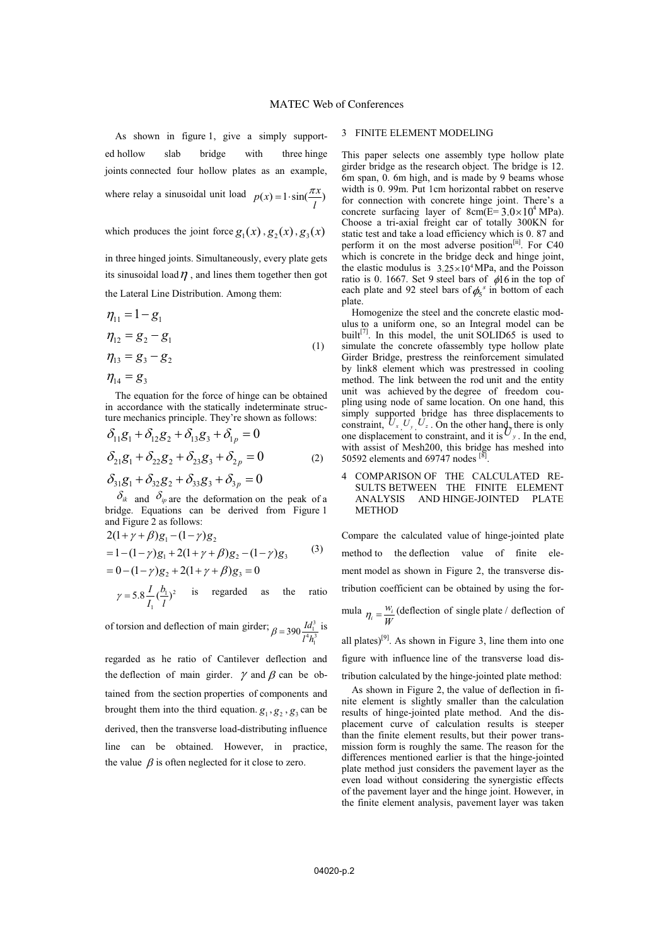As shown in figure 1, give a simply supported hollow slab bridge with three hinge joints connected four hollow plates as an example, where relay a sinusoidal unit load  $p(x) = 1 \cdot \sin(\frac{\pi x}{l})$ 

which produces the joint force  $g_1(x)$ ,  $g_2(x)$ ,  $g_3(x)$ 

in three hinged joints. Simultaneously, every plate gets its sinusoidal load  $\eta$ , and lines them together then got the Lateral Line Distribution. Among them:

$$
\eta_{11} = 1 - g_1 \n\eta_{12} = g_2 - g_1 \n\eta_{13} = g_3 - g_2 \n\eta_{14} = g_3
$$
\n(1)

The equation for the force of hinge can be obtained in accordance with the statically indeterminate structure mechanics principle. They're shown as follows:

$$
\delta_{11}g_1 + \delta_{12}g_2 + \delta_{13}g_3 + \delta_{1p} = 0
$$
  

$$
\delta_{21}g_1 + \delta_{22}g_2 + \delta_{23}g_3 + \delta_{2p} = 0
$$
 (2)

 $\delta_{31}g_1 + \delta_{32}g_2 + \delta_{33}g_3 + \delta_{3p} = 0$ 

 $\delta_{ik}$  and  $\delta_{ip}$  are the deformation on the peak of a bridge. Equations can be derived from Figure 1 and Figure 2 as follows:

$$
2(1+\gamma+\beta)g_1 - (1-\gamma)g_2
$$
  
= 1 - (1-\gamma)g\_1 + 2(1+\gamma+\beta)g\_2 - (1-\gamma)g\_3 (3)  
= 0 - (1-\gamma)g\_2 + 2(1+\gamma+\beta)g\_3 = 0

$$
\gamma = 5.8 \frac{I}{I_1} (\frac{b_1}{l})^2
$$
 is regarded as the ratio

of torsion and deflection of main girder;  $\beta = 390 \frac{Id_1^3}{14L_1^3}$  $\mathbf{r}$  $\beta = 390 \frac{Id_1^3}{l^4 h_1^3}$  is

regarded as he ratio of Cantilever deflection and the deflection of main girder.  $\gamma$  and  $\beta$  can be obtained from the section properties of components and brought them into the third equation.  $g_1, g_2, g_3$  can be derived, then the transverse load-distributing influence line can be obtained. However, in practice, the value  $\beta$  is often neglected for it close to zero.

### 3 FINITE ELEMENT MODELING

This paper selects one assembly type hollow plate girder bridge as the research object. The bridge is 12. 6m span, 0. 6m high, and is made by 9 beams whose width is 0. 99m. Put 1cm horizontal rabbet on reserve for connection with concrete hinge joint. There's a concrete surfacing layer of  $8cm(E=3.0 \times 10^4 \text{ MPa})$ . Choose a tri-axial freight car of totally 300KN for static test and take a load efficiency which is 0. 87 and perform it on the most adverse position<sup>[ii]</sup>. For C40 which is concrete in the bridge deck and hinge joint, the elastic modulus is  $3.25 \times 10^4$  MPa, and the Poisson ratio is 0. 1667. Set 9 steel bars of  $\phi$ 16 in the top of each plate and 92 steel bars of  $\phi_5^s$  in bottom of each plate.

Homogenize the steel and the concrete elastic modulus to a uniform one, so an Integral model can be built<sup>[7]</sup>. In this model, the unit SOLID65 is used to simulate the concrete ofassembly type hollow plate Girder Bridge, prestress the reinforcement simulated by link8 element which was prestressed in cooling method. The link between the rod unit and the entity unit was achieved by the degree of freedom coupling using node of same location. On one hand, this simply supported bridge has three displacements to constraint,  $U_x$ ,  $U_y$ ,  $U_z$ . On the other hand, there is only one displacement to constraint, and it is  $U_y$ . In the end, with assist of Mesh200, this bridge has meshed into 50592 elements and 69747 nodes  $[8]$ .

## 4 COMPARISON OF THE CALCULATED RE-SULTS BETWEEN THE FINITE ELEMENT ANALYSIS AND HINGE-JOINTED PLATE METHOD

Compare the calculated value of hinge-jointed plate method to the deflection value of finite element model as shown in Figure 2, the transverse distribution coefficient can be obtained by using the for-

mula  $\eta_i = \frac{W_i}{W}$  (deflection of single plate / deflection of

all plates)<sup>[9]</sup>. As shown in Figure 3, line them into one figure with influence line of the transverse load distribution calculated by the hinge-jointed plate method:

As shown in Figure 2, the value of deflection in finite element is slightly smaller than the calculation results of hinge-jointed plate method. And the displacement curve of calculation results is steeper than the finite element results, but their power transmission form is roughly the same. The reason for the differences mentioned earlier is that the hinge-jointed plate method just considers the pavement layer as the even load without considering the synergistic effects of the pavement layer and the hinge joint. However, in the finite element analysis, pavement layer was taken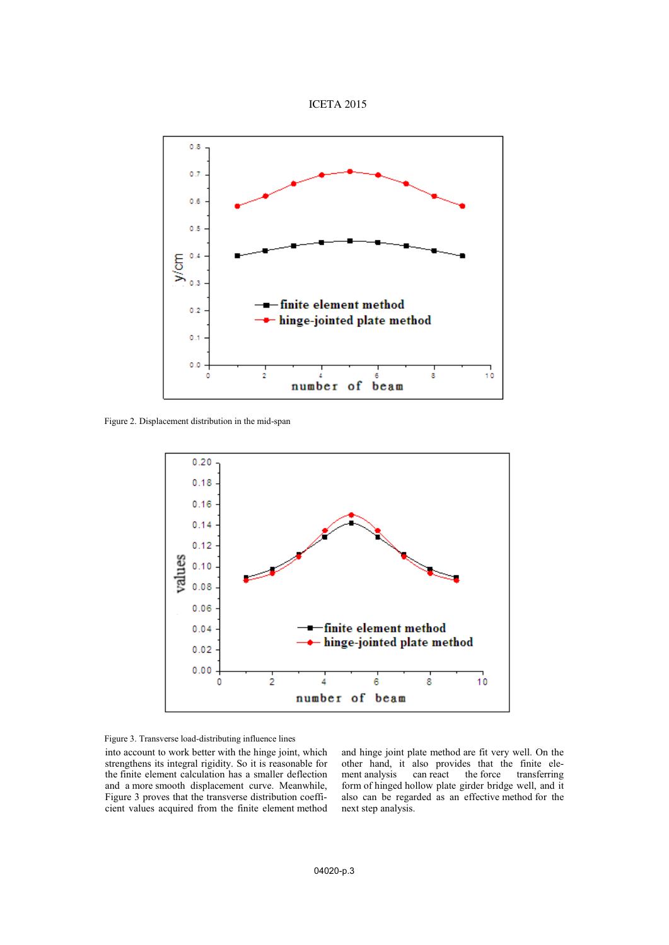



Figure 2. Displacement distribution in the mid-span



Figure 3. Transverse load-distributing influence lines

into account to work better with the hinge joint, which strengthens its integral rigidity. So it is reasonable for the finite element calculation has a smaller deflection and a more smooth displacement curve. Meanwhile, Figure 3 proves that the transverse distribution coefficient values acquired from the finite element method and hinge joint plate method are fit very well. On the other hand, it also provides that the finite eletransferring form of hinged hollow plate girder bridge well, and it also can be regarded as an effective method for the next step analysis.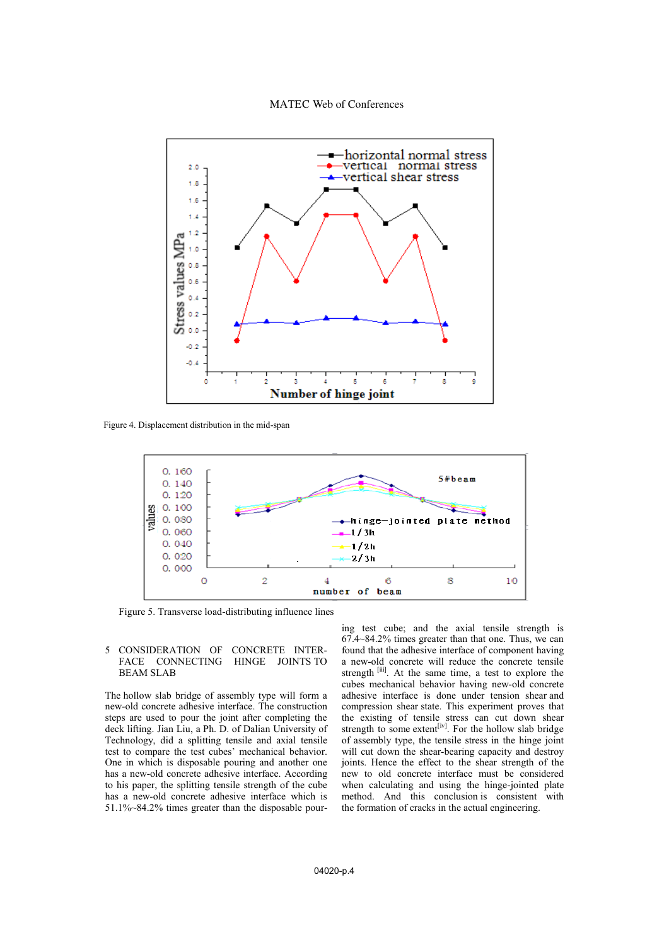# MATEC Web of Conferences



Figure 4. Displacement distribution in the mid-span



Figure 5. Transverse load-distributing influence lines

### 5 CONSIDERATION OF CONCRETE INTER-FACE CONNECTING BEAM SLAB

The hollow slab bridge of assembly type will form a new-old concrete adhesive interface. The construction steps are used to pour the joint after completing the deck lifting. Jian Liu, a Ph. D. of Dalian University of Technology, did a splitting tensile and axial tensile test to compare the test cubes' mechanical behavior. One in which is disposable pouring and another one has a new-old concrete adhesive interface. According to his paper, the splitting tensile strength of the cube has a new-old concrete adhesive interface which is 51.1%~84.2% times greater than the disposable pouring test cube; and the axial tensile strength is 67.4~84.2% times greater than that one. Thus, we can found that the adhesive interface of component having a new-old concrete will reduce the concrete tensile strength [iii]. At the same time, a test to explore the cubes mechanical behavior having new-old concrete adhesive interface is done under tension shear and compression shear state. This experiment proves that the existing of tensile stress can cut down shear strength to some extent<sup>[iv]</sup>. For the hollow slab bridge of assembly type, the tensile stress in the hinge joint will cut down the shear-bearing capacity and destroy joints. Hence the effect to the shear strength of the new to old concrete interface must be considered when calculating and using the hinge-jointed plate method. And this conclusion is consistent with the formation of cracks in the actual engineering.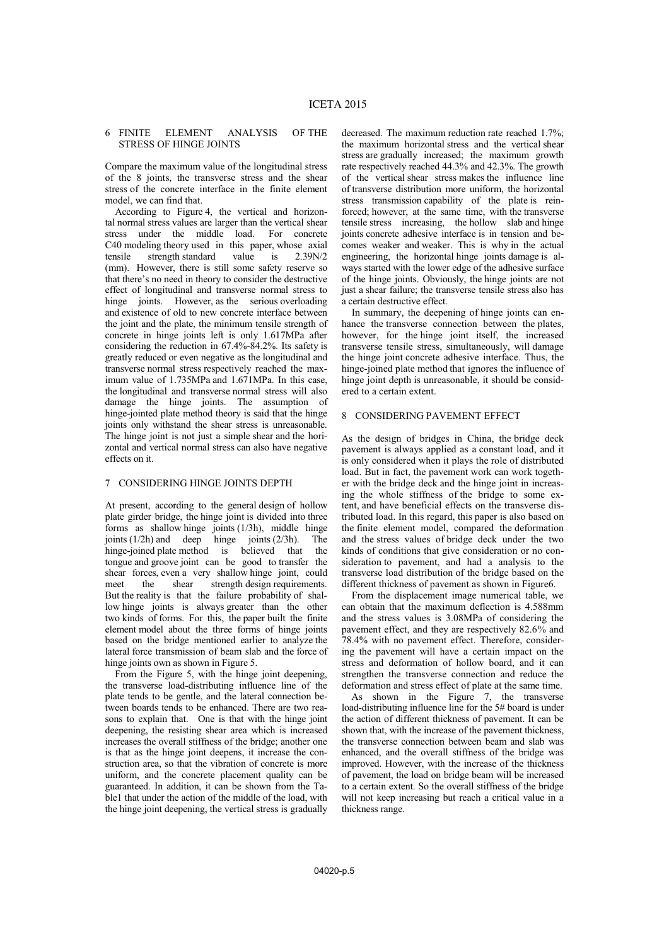# 6 FINITE ELEMENT ANALYSIS OF THE STRESS OF HINGE JOINTS

Compare the maximum value of the longitudinal stress of the 8 joints, the transverse stress and the shear stress of the concrete interface in the finite element model, we can find that.

According to Figure 4, the vertical and horizontal normal stress values are larger than the vertical shear stress under the middle load. For concrete C40 modeling theory used in this paper, whose axial tensile strength standard value is 2.39N/2 (mm). However, there is still some safety reserve so that there's no need in theory to consider the destructive effect of longitudinal and transverse normal stress to hinge joints. However, as the serious overloading and existence of old to new concrete interface between the joint and the plate, the minimum tensile strength of concrete in hinge joints left is only 1.617MPa after considering the reduction in 67.4%-84.2%. Its safety is greatly reduced or even negative as the longitudinal and transverse normal stress respectively reached the maximum value of 1.735MPa and 1.671MPa. In this case, the longitudinal and transverse normal stress will also damage the hinge joints. The assumption of hinge-jointed plate method theory is said that the hinge joints only withstand the shear stress is unreasonable. The hinge joint is not just a simple shear and the horizontal and vertical normal stress can also have negative effects on it.

#### 7 CONSIDERING HINGE JOINTS DEPTH

At present, according to the general design of hollow plate girder bridge, the hinge joint is divided into three forms as shallow hinge joints (1/3h), middle hinge joints (1/2h) and deep hinge joints (2/3h). The hinge-joined plate method is believed that the tongue and groove joint can be good to transfer the shear forces, even a very shallow hinge joint, could meet the shear strength design requirements. But the reality is that the failure probability of shallow hinge joints is always greater than the other two kinds of forms. For this, the paper built the finite element model about the three forms of hinge joints based on the bridge mentioned earlier to analyze the lateral force transmission of beam slab and the force of hinge joints own as shown in Figure 5.

From the Figure 5, with the hinge joint deepening, the transverse load-distributing influence line of the plate tends to be gentle, and the lateral connection between boards tends to be enhanced. There are two reasons to explain that. One is that with the hinge joint deepening, the resisting shear area which is increased increases the overall stiffness of the bridge; another one is that as the hinge joint deepens, it increase the construction area, so that the vibration of concrete is more uniform, and the concrete placement quality can be guaranteed. In addition, it can be shown from the Table1 that under the action of the middle of the load, with the hinge joint deepening, the vertical stress is gradually

decreased. The maximum reduction rate reached 1.7%; the maximum horizontal stress and the vertical shear stress are gradually increased; the maximum growth rate respectively reached 44.3% and 42.3%. The growth of the vertical shear stress makes the influence line of transverse distribution more uniform, the horizontal stress transmission capability of the plate is reinforced; however, at the same time, with the transverse tensile stress increasing, the hollow slab and hinge joints concrete adhesive interface is in tension and becomes weaker and weaker. This is why in the actual engineering, the horizontal hinge joints damage is always started with the lower edge of the adhesive surface of the hinge joints. Obviously, the hinge joints are not just a shear failure; the transverse tensile stress also has a certain destructive effect.

In summary, the deepening of hinge joints can enhance the transverse connection between the plates, however, for the hinge joint itself, the increased transverse tensile stress, simultaneously, will damage the hinge joint concrete adhesive interface. Thus, the hinge-joined plate method that ignores the influence of hinge joint depth is unreasonable, it should be considered to a certain extent.

### 8 CONSIDERING PAVEMENT EFFECT

As the design of bridges in China, the bridge deck pavement is always applied as a constant load, and it is only considered when it plays the role of distributed load. But in fact, the pavement work can work together with the bridge deck and the hinge joint in increasing the whole stiffness of the bridge to some extent, and have beneficial effects on the transverse distributed load. In this regard, this paper is also based on the finite element model, compared the deformation and the stress values of bridge deck under the two kinds of conditions that give consideration or no consideration to pavement, and had a analysis to the transverse load distribution of the bridge based on the different thickness of pavement as shown in Figure6.

From the displacement image numerical table, we can obtain that the maximum deflection is 4.588mm and the stress values is 3.08MPa of considering the pavement effect, and they are respectively 82.6% and 78.4% with no pavement effect. Therefore, considering the pavement will have a certain impact on the stress and deformation of hollow board, and it can strengthen the transverse connection and reduce the deformation and stress effect of plate at the same time.

As shown in the Figure 7, the transverse load-distributing influence line for the 5# board is under the action of different thickness of pavement. It can be shown that, with the increase of the pavement thickness, the transverse connection between beam and slab was enhanced, and the overall stiffness of the bridge was improved. However, with the increase of the thickness of pavement, the load on bridge beam will be increased to a certain extent. So the overall stiffness of the bridge will not keep increasing but reach a critical value in a thickness range.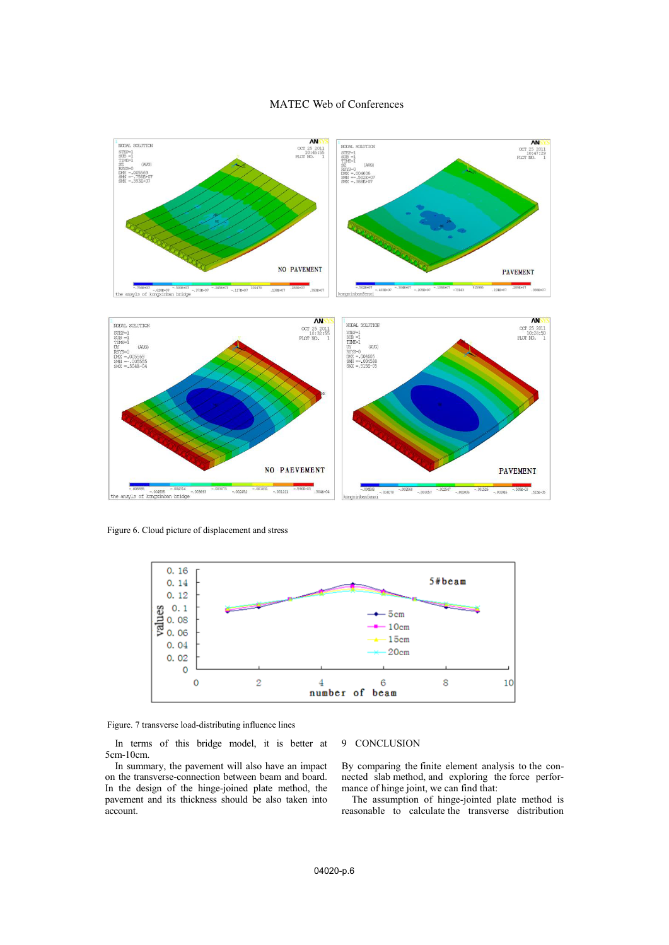# MATEC Web of Conferences



Figure 6. Cloud picture of displacement and stress



Figure. 7 transverse load-distributing influence lines

In terms of this bridge model, it is better at 5cm-10cm.

In summary, the pavement will also have an impact on the transverse-connection between beam and board. In the design of the hinge-joined plate method, the pavement and its thickness should be also taken into account.

# 9 CONCLUSION

By comparing the finite element analysis to the connected slab method, and exploring the force performance of hinge joint, we can find that:

The assumption of hinge-jointed plate method is reasonable to calculate the transverse distribution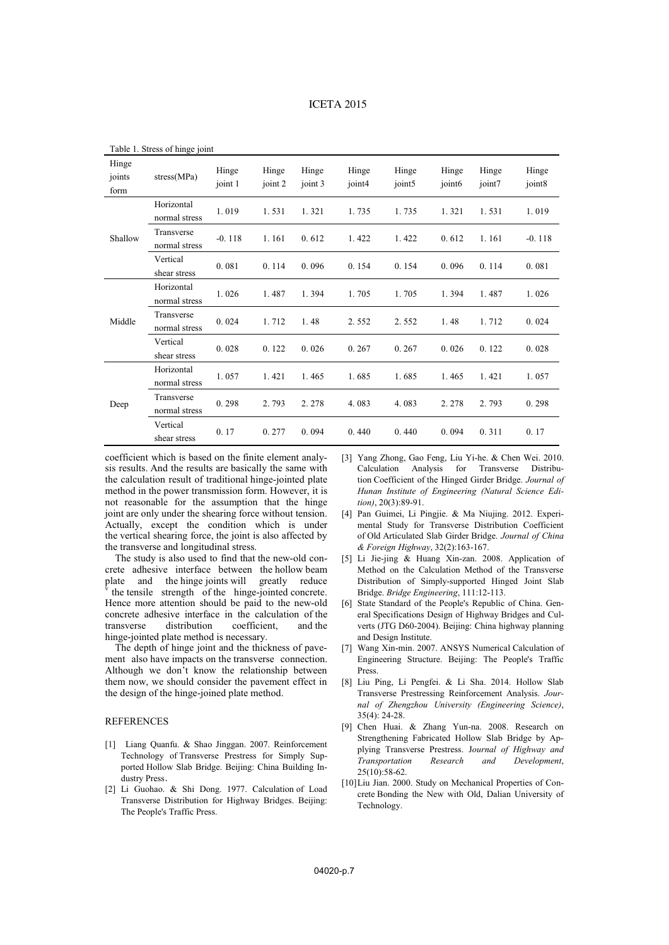| Table 1. Stress of thinge joint |                             |                  |                  |                  |                 |                 |                             |                 |                 |
|---------------------------------|-----------------------------|------------------|------------------|------------------|-----------------|-----------------|-----------------------------|-----------------|-----------------|
| Hinge<br>joints<br>form         | stress(MPa)                 | Hinge<br>joint 1 | Hinge<br>joint 2 | Hinge<br>joint 3 | Hinge<br>joint4 | Hinge<br>joint5 | Hinge<br>joint <sub>6</sub> | Hinge<br>joint7 | Hinge<br>joint8 |
| Shallow                         | Horizontal<br>normal stress | 1.019            | 1.531            | 1.321            | 1.735           | 1.735           | 1.321                       | 1.531           | 1.019           |
|                                 | Transverse<br>normal stress | $-0.118$         | 1.161            | 0.612            | 1.422           | 1.422           | 0.612                       | 1.161           | $-0.118$        |
|                                 | Vertical<br>shear stress    | 0.081            | 0.114            | 0.096            | 0.154           | 0.154           | 0.096                       | 0.114           | 0.081           |
| Middle                          | Horizontal<br>normal stress | 1.026            | 1.487            | 1.394            | 1.705           | 1.705           | 1.394                       | 1.487           | 1.026           |
|                                 | Transverse<br>normal stress | 0.024            | 1.712            | 1.48             | 2.552           | 2.552           | 1.48                        | 1.712           | 0.024           |
|                                 | Vertical<br>shear stress    | 0.028            | 0.122            | 0.026            | 0.267           | 0.267           | 0.026                       | 0.122           | 0.028           |
| Deep                            | Horizontal<br>normal stress | 1.057            | 1.421            | 1.465            | 1.685           | 1.685           | 1.465                       | 1.421           | 1.057           |
|                                 | Transverse<br>normal stress | 0.298            | 2.793            | 2.278            | 4.083           | 4.083           | 2.278                       | 2.793           | 0.298           |
|                                 | Vertical<br>shear stress    | 0.17             | 0.277            | 0.094            | 0.440           | 0.440           | 0.094                       | 0.311           | 0.17            |

Table 1. Stress of hinge joint

coefficient which is based on the finite element analysis results. And the results are basically the same with the calculation result of traditional hinge-jointed plate method in the power transmission form. However, it is not reasonable for the assumption that the hinge joint are only under the shearing force without tension. Actually, except the condition which is under the vertical shearing force, the joint is also affected by the transverse and longitudinal stress.

The study is also used to find that the new-old concrete adhesive interface between the hollow beam plate and the hinge joints will greatly reduce the tensile strength of the hinge-jointed concrete. Hence more attention should be paid to the new-old concrete adhesive interface in the calculation of the transverse distribution coefficient, and the hinge-jointed plate method is necessary.

The depth of hinge joint and the thickness of pavement also have impacts on the transverse connection. Although we don't know the relationship between them now, we should consider the pavement effect in the design of the hinge-joined plate method.

# REFERENCES

- [1] Liang Quanfu. & Shao Jinggan. 2007. Reinforcement Technology of Transverse Prestress for Simply Supported Hollow Slab Bridge. Beijing: China Building Industry Press.
- [2] Li Guohao. & Shi Dong. 1977. Calculation of Load Transverse Distribution for Highway Bridges. Beijing: The People's Traffic Press.
- [3] Yang Zhong, Gao Feng, Liu Yi-he. & Chen Wei. 2010. Calculation Analysis for Transverse Distribution Coefficient of the Hinged Girder Bridge. *Journal of Hunan Institute of Engineering (Natural Science Edition)*, 20(3):89-91.
- [4] Pan Guimei, Li Pingjie. & Ma Niujing. 2012. Experimental Study for Transverse Distribution Coefficient of Old Articulated Slab Girder Bridge. *Journal of China & Foreign Highway*, 32(2):163-167.
- [5] Li Jie-jing & Huang Xin-zan. 2008. Application of Method on the Calculation Method of the Transverse Distribution of Simply-supported Hinged Joint Slab Bridge. *Bridge Engineering*, 111:12-113.
- [6] State Standard of the People's Republic of China. General Specifications Design of Highway Bridges and Culverts (JTG D60-2004). Beijing: China highway planning and Design Institute.
- [7] Wang Xin-min. 2007. ANSYS Numerical Calculation of Engineering Structure. Beijing: The People's Traffic Press.
- [8] Liu Ping, Li Pengfei. & Li Sha. 2014. Hollow Slab Transverse Prestressing Reinforcement Analysis. *Journal of Zhengzhou University (Engineering Science)*, 35(4): 24-28.
- [9] Chen Huai. & Zhang Yun-na. 2008. Research on Strengthening Fabricated Hollow Slab Bridge by Applying Transverse Prestress. J*ournal of Highway and Transportation Research and Development*, 25(10):58-62.
- [10]Liu Jian. 2000. Study on Mechanical Properties of Concrete Bonding the New with Old, Dalian University of Technology.